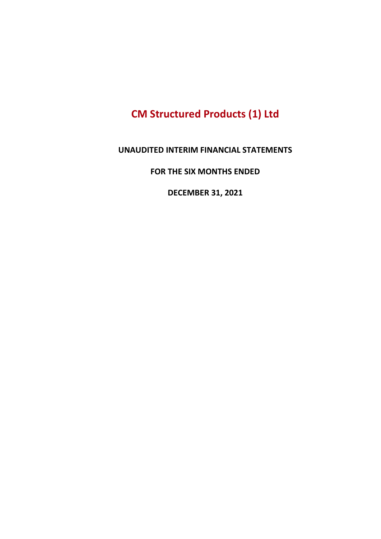# CM Structured Products (1) Ltd

#### UNAUDITED INTERIM FINANCIAL STATEMENTS

#### FOR THE SIX MONTHS ENDED

DECEMBER 31, 2021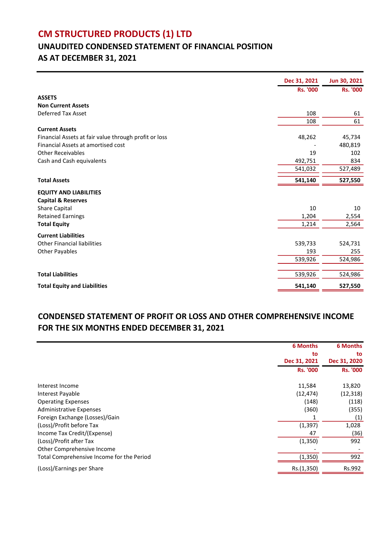# CM STRUCTURED PRODUCTS (1) LTD

# UNAUDITED CONDENSED STATEMENT OF FINANCIAL POSITION AS AT DECEMBER 31, 2021

|                                                       | Dec 31, 2021    | Jun 30, 2021    |
|-------------------------------------------------------|-----------------|-----------------|
|                                                       | <b>Rs. '000</b> | <b>Rs. '000</b> |
| <b>ASSETS</b>                                         |                 |                 |
| <b>Non Current Assets</b>                             |                 |                 |
| <b>Deferred Tax Asset</b>                             | 108             | 61              |
|                                                       | 108             | 61              |
| <b>Current Assets</b>                                 |                 |                 |
| Financial Assets at fair value through profit or loss | 48,262          | 45,734          |
| Financial Assets at amortised cost                    |                 | 480,819         |
| <b>Other Receivables</b>                              | 19              | 102             |
| Cash and Cash equivalents                             | 492,751         | 834             |
|                                                       | 541,032         | 527,489         |
| <b>Total Assets</b>                                   | 541,140         | 527,550         |
| <b>EQUITY AND LIABILITIES</b>                         |                 |                 |
| <b>Capital &amp; Reserves</b>                         |                 |                 |
| Share Capital                                         | 10              | 10              |
| <b>Retained Earnings</b>                              | 1,204           | 2,554           |
| <b>Total Equity</b>                                   | 1,214           | 2,564           |
| <b>Current Liabilities</b>                            |                 |                 |
| <b>Other Financial liabilities</b>                    | 539,733         | 524,731         |
| <b>Other Payables</b>                                 | 193             | 255             |
|                                                       | 539,926         | 524,986         |
|                                                       |                 |                 |
| <b>Total Liabilities</b>                              | 539,926         | 524,986         |
| <b>Total Equity and Liabilities</b>                   | 541,140         | 527,550         |

### CONDENSED STATEMENT OF PROFIT OR LOSS AND OTHER COMPREHENSIVE INCOME FOR THE SIX MONTHS ENDED DECEMBER 31, 2021

|                                           | <b>6 Months</b> | <b>6 Months</b> |
|-------------------------------------------|-----------------|-----------------|
|                                           | to              | to              |
|                                           | Dec 31, 2021    | Dec 31, 2020    |
|                                           | <b>Rs. '000</b> | <b>Rs. '000</b> |
| Interest Income                           | 11,584          | 13,820          |
| Interest Payable                          | (12, 474)       | (12, 318)       |
| <b>Operating Expenses</b>                 | (148)           | (118)           |
| <b>Administrative Expenses</b>            | (360)           | (355)           |
| Foreign Exchange (Losses)/Gain            |                 | (1)             |
| (Loss)/Profit before Tax                  | (1, 397)        | 1,028           |
| Income Tax Credit/(Expense)               | 47              | (36)            |
| (Loss)/Profit after Tax                   | (1,350)         | 992             |
| Other Comprehensive Income                |                 |                 |
| Total Comprehensive Income for the Period | (1, 350)        | 992             |
| (Loss)/Earnings per Share                 | Rs.(1,350)      | Rs.992          |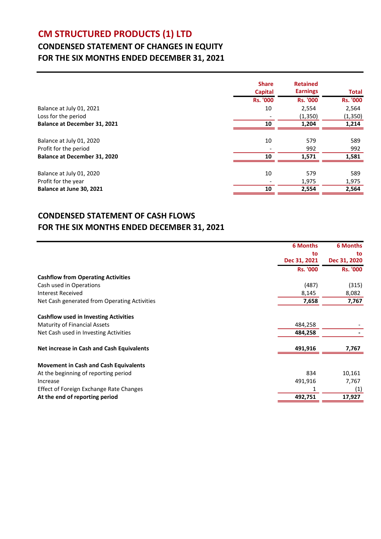# CM STRUCTURED PRODUCTS (1) LTD

### CONDENSED STATEMENT OF CHANGES IN EQUITY FOR THE SIX MONTHS ENDED DECEMBER 31, 2021

|                                     | <b>Share</b><br><b>Capital</b> | <b>Retained</b><br><b>Earnings</b> | <b>Total</b>    |
|-------------------------------------|--------------------------------|------------------------------------|-----------------|
|                                     | <b>Rs. '000</b>                | <b>Rs. '000</b>                    | <b>Rs. '000</b> |
| Balance at July 01, 2021            | 10                             | 2,554                              | 2,564           |
| Loss for the period                 |                                | (1,350)                            | (1, 350)        |
| <b>Balance at December 31, 2021</b> | 10                             | 1,204                              | 1,214           |
|                                     |                                |                                    |                 |
| Balance at July 01, 2020            | 10                             | 579                                | 589             |
| Profit for the period               |                                | 992                                | 992             |
| Balance at December 31, 2020        | 10                             | 1,571                              | 1,581           |
|                                     |                                |                                    |                 |
| Balance at July 01, 2020            | 10                             | 579                                | 589             |
| Profit for the year                 |                                | 1,975                              | 1,975           |
| Balance at June 30, 2021            | 10                             | 2,554                              | 2,564           |

#### CONDENSED STATEMENT OF CASH FLOWS FOR THE SIX MONTHS ENDED DECEMBER 31, 2021

|                                              | <b>6 Months</b> | <b>6 Months</b> |
|----------------------------------------------|-----------------|-----------------|
|                                              | to              | to              |
|                                              | Dec 31, 2021    | Dec 31, 2020    |
|                                              | <b>Rs. '000</b> | <b>Rs. '000</b> |
| <b>Cashflow from Operating Activities</b>    |                 |                 |
| Cash used in Operations                      | (487)           | (315)           |
| <b>Interest Received</b>                     | 8,145           | 8,082           |
| Net Cash generated from Operating Activities | 7,658           | 7,767           |
| <b>Cashflow used in Investing Activities</b> |                 |                 |
| <b>Maturity of Financial Assets</b>          | 484,258         |                 |
| Net Cash used in Investing Activities        | 484,258         |                 |
| Net increase in Cash and Cash Equivalents    | 491,916         | 7,767           |
| <b>Movement in Cash and Cash Equivalents</b> |                 |                 |
| At the beginning of reporting period         | 834             | 10,161          |
| Increase                                     | 491,916         | 7,767           |
| Effect of Foreign Exchange Rate Changes      |                 | (1)             |
| At the end of reporting period               | 492,751         | 17,927          |